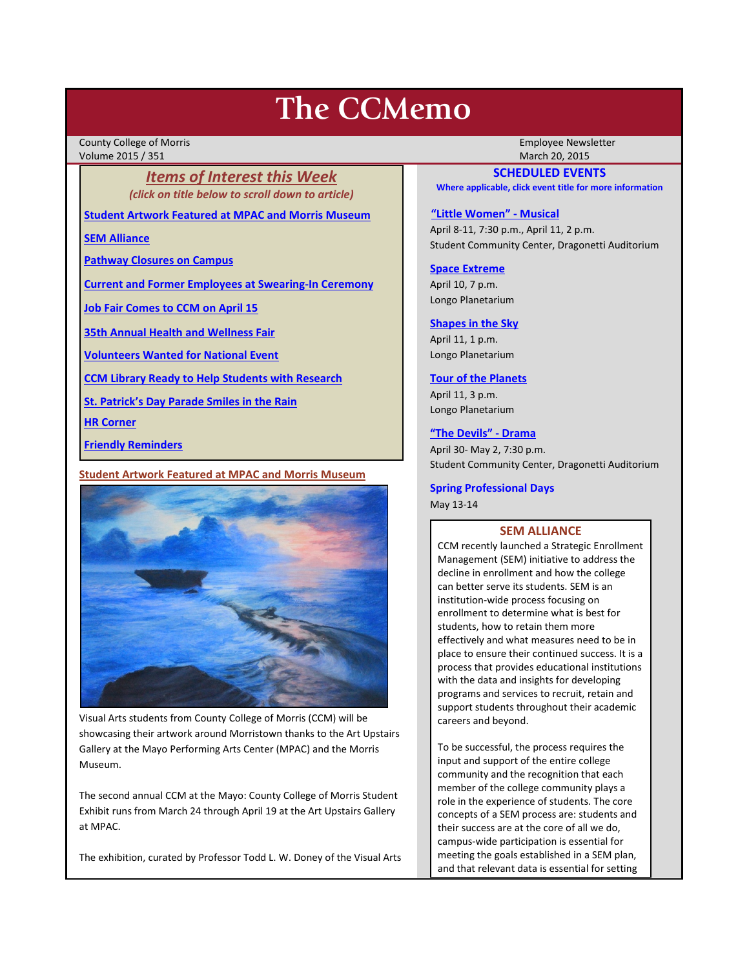# **The CCMemo**

County College of Morris Employee Newsletter Volume 2015 / 351 March 20, 2015

*Items of Interest this Week (click on title below to scroll down to article)*

**[Student Artwork Featured at MPAC and Morris Museum](#page-0-0)**

**[SEM Alliance](#page-0-1)**

**[Pathway Closures on Campus](#page-1-0)**

**[Current and Former Employees at Swearing-In Ceremony](#page-1-1)**

**[Job Fair Comes to CCM on April 15](#page-2-0)**

**[35th Annual Health and Wellness Fair](#page-2-1)**

**[Volunteers Wanted for National Event](#page-2-2)**

**[CCM Library Ready to Help Students with Research](#page-3-0)**

**[St. Patrick's Day Parade Smiles in the Rain](#page-3-1)**

**[HR Corner](#page-2-3)**

**[Friendly Reminders](#page-1-2)**

### <span id="page-0-0"></span>**Student Artwork Featured at MPAC and Morris Museum**



Visual Arts students from County College of Morris (CCM) will be showcasing their artwork around Morristown thanks to the Art Upstairs Gallery at the Mayo Performing Arts Center (MPAC) and the Morris Museum.

The second annual CCM at the Mayo: County College of Morris Student Exhibit runs from March 24 through April 19 at the Art Upstairs Gallery at MPAC.

The exhibition, curated by Professor Todd L. W. Doney of the Visual Arts

# **SCHEDULED EVENTS**

**Where applicable, click event title for more information**

#### **["Little Women" -](http://www.ccm.edu/newsEvents/eventDetails.aspx?Channel=/Channels/Sitewide&WorkflowItemID=029a637e-615b-449c-8bcb-398ef284b5d6) Musical**

April 8-11, 7:30 p.m., April 11, 2 p.m. Student Community Center, Dragonetti Auditorium

## **[Space Extreme](http://www.ccm.edu/newsEvents/eventDetails.aspx?Channel=/Channels/Sitewide&WorkflowItemID=1874a4b0-0bcb-4ed1-a29e-7b4f8d25e45d)**

April 10, 7 p.m. Longo Planetarium

## **[Shapes in the Sky](http://www.ccm.edu/newsEvents/eventDetails.aspx?Channel=/Channels/Sitewide&WorkflowItemID=1922c928-86d3-4e75-b6a2-fd618033989c)**

April 11, 1 p.m. Longo Planetarium

### **[Tour of the Planets](http://www.ccm.edu/newsEvents/eventDetails.aspx?Channel=/Channels/Sitewide&WorkflowItemID=5834aa20-68ba-4fa2-a3ac-75b2311ba441)**

April 11, 3 p.m. Longo Planetarium

#### **["The Devils" -](http://www.ccm.edu/newsEvents/eventDetails.aspx?Channel=/Channels/Sitewide&WorkflowItemID=8dd88758-b234-42f0-abf7-34958b6a6635) Drama**

April 30- May 2, 7:30 p.m. Student Community Center, Dragonetti Auditorium

## **Spring Professional Days** May 13-14

## **SEM ALLIANCE**

<span id="page-0-1"></span>CCM recently launched a Strategic Enrollment Management (SEM) initiative to address the decline in enrollment and how the college can better serve its students. SEM is an institution-wide process focusing on enrollment to determine what is best for students, how to retain them more effectively and what measures need to be in place to ensure their continued success. It is a process that provides educational institutions with the data and insights for developing programs and services to recruit, retain and support students throughout their academic careers and beyond.

To be successful, the process requires the input and support of the entire college community and the recognition that each member of the college community plays a role in the experience of students. The core concepts of a SEM process are: students and their success are at the core of all we do, campus-wide participation is essential for meeting the goals established in a SEM plan, and that relevant data is essential for setting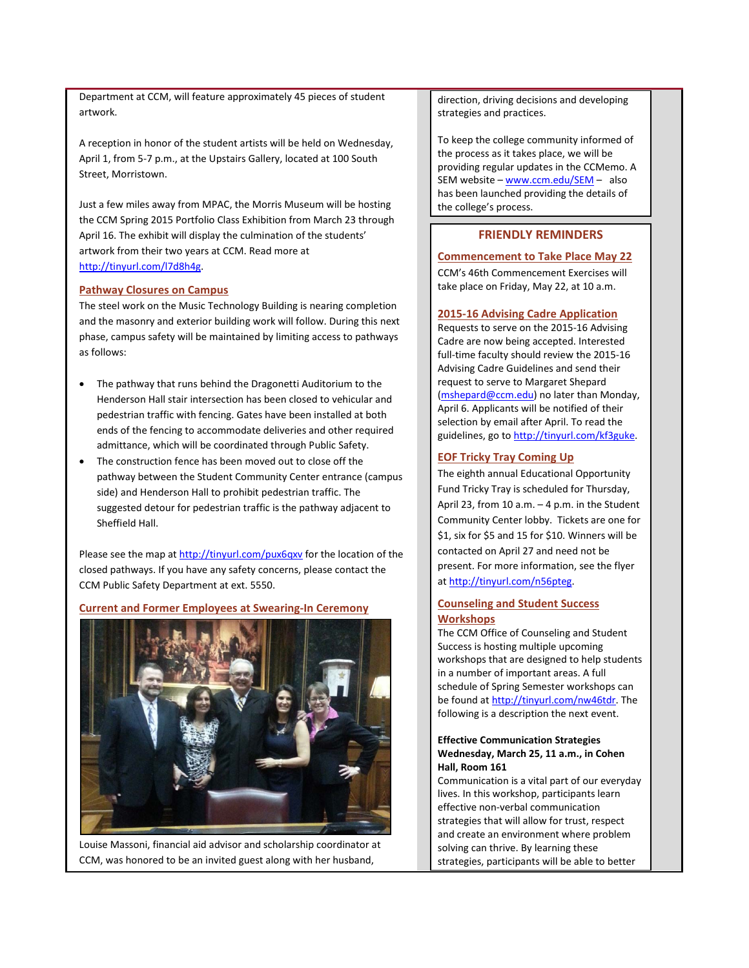Department at CCM, will feature approximately 45 pieces of student artwork.

A reception in honor of the student artists will be held on Wednesday, April 1, from 5-7 p.m., at the Upstairs Gallery, located at 100 South Street, Morristown.

Just a few miles away from MPAC, the Morris Museum will be hosting the CCM Spring 2015 Portfolio Class Exhibition from March 23 through April 16. The exhibit will display the culmination of the students' artwork from their two years at CCM. Read more at [http://tinyurl.com/l7d8h4g.](http://tinyurl.com/l7d8h4g)

### <span id="page-1-0"></span>**Pathway Closures on Campus**

The steel work on the Music Technology Building is nearing completion and the masonry and exterior building work will follow. During this next phase, campus safety will be maintained by limiting access to pathways as follows:

- The pathway that runs behind the Dragonetti Auditorium to the Henderson Hall stair intersection has been closed to vehicular and pedestrian traffic with fencing. Gates have been installed at both ends of the fencing to accommodate deliveries and other required admittance, which will be coordinated through Public Safety.
- The construction fence has been moved out to close off the pathway between the Student Community Center entrance (campus side) and Henderson Hall to prohibit pedestrian traffic. The suggested detour for pedestrian traffic is the pathway adjacent to Sheffield Hall.

Please see the map a[t http://tinyurl.com/pux6qxv](http://tinyurl.com/pux6qxv) for the location of the closed pathways. If you have any safety concerns, please contact the CCM Public Safety Department at ext. 5550.

#### <span id="page-1-1"></span>**Current and Former Employees at Swearing-In Ceremony**



Louise Massoni, financial aid advisor and scholarship coordinator at CCM, was honored to be an invited guest along with her husband,

direction, driving decisions and developing strategies and practices.

To keep the college community informed of the process as it takes place, we will be providing regular updates in the CCMemo. A SEM website – [www.ccm.edu/SEM](http://www.ccm.edu/SEM) – also has been launched providing the details of the college's process.

## **FRIENDLY REMINDERS**

### <span id="page-1-2"></span>**Commencement to Take Place May 22**

CCM's 46th Commencement Exercises will take place on Friday, May 22, at 10 a.m.

#### **2015-16 Advising Cadre Application**

Requests to serve on the 2015-16 Advising Cadre are now being accepted. Interested full-time faculty should review the 2015-16 Advising Cadre Guidelines and send their request to serve to Margaret Shepard [\(mshepard@ccm.edu\)](mailto:mshepard@ccm.edu) no later than Monday, April 6. Applicants will be notified of their selection by email after April. To read the guidelines, go t[o http://tinyurl.com/kf3guke.](http://tinyurl.com/kf3guke)

### **EOF Tricky Tray Coming Up**

The eighth annual Educational Opportunity Fund Tricky Tray is scheduled for Thursday, April 23, from 10 a.m. – 4 p.m. in the Student Community Center lobby. Tickets are one for \$1, six for \$5 and 15 for \$10. Winners will be contacted on April 27 and need not be present. For more information, see the flyer a[t http://tinyurl.com/n56pteg.](http://tinyurl.com/n56pteg)

# **Counseling and Student Success Workshops**

The CCM Office of Counseling and Student Success is hosting multiple upcoming workshops that are designed to help students in a number of important areas. A full schedule of Spring Semester workshops can be found a[t http://tinyurl.com/nw46tdr.](http://tinyurl.com/nw46tdr) The following is a description the next event.

## **Effective Communication Strategies Wednesday, March 25, 11 a.m., in Cohen Hall, Room 161**

Communication is a vital part of our everyday lives. In this workshop, participants learn effective non-verbal communication strategies that will allow for trust, respect and create an environment where problem solving can thrive. By learning these strategies, participants will be able to better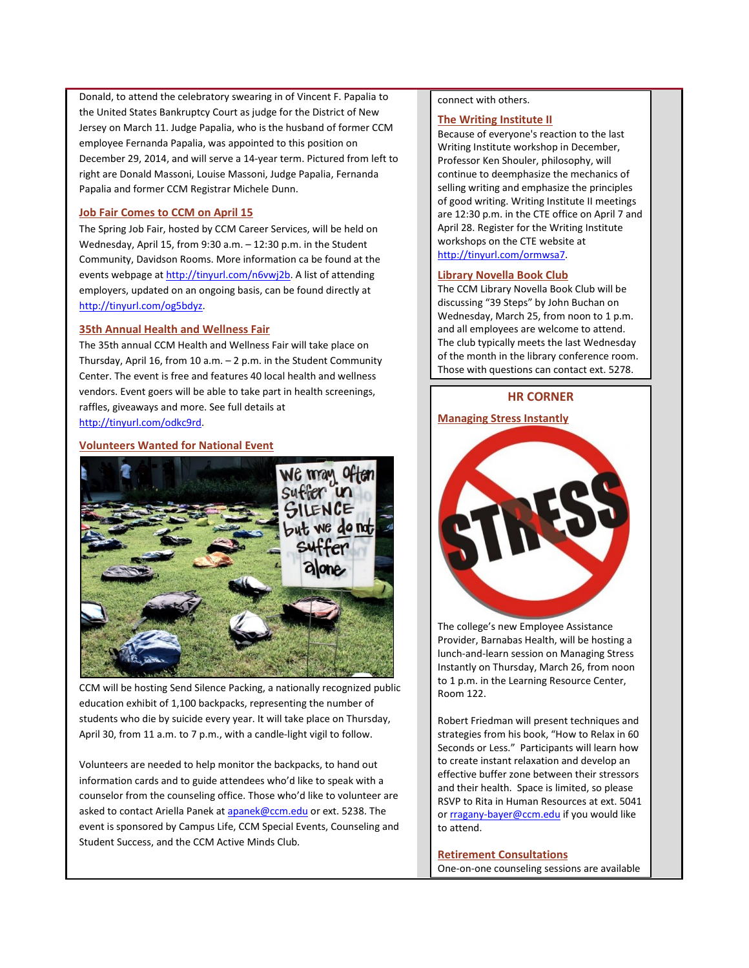Donald, to attend the celebratory swearing in of Vincent F. Papalia to the United States Bankruptcy Court as judge for the District of New Jersey on March 11. Judge Papalia, who is the husband of former CCM employee Fernanda Papalia, was appointed to this position on December 29, 2014, and will serve a 14-year term. Pictured from left to right are Donald Massoni, Louise Massoni, Judge Papalia, Fernanda Papalia and former CCM Registrar Michele Dunn.

## <span id="page-2-0"></span>**Job Fair Comes to CCM on April 15**

The Spring Job Fair, hosted by CCM Career Services, will be held on Wednesday, April 15, from 9:30 a.m. – 12:30 p.m. in the Student Community, Davidson Rooms. More information ca be found at the events webpage at [http://tinyurl.com/n6vwj2b.](http://tinyurl.com/n6vwj2b) A list of attending employers, updated on an ongoing basis, can be found directly at [http://tinyurl.com/og5bdyz.](http://tinyurl.com/og5bdyz)

## <span id="page-2-1"></span>**35th Annual Health and Wellness Fair**

The 35th annual CCM Health and Wellness Fair will take place on Thursday, April 16, from 10 a.m. – 2 p.m. in the Student Community Center. The event is free and features 40 local health and wellness vendors. Event goers will be able to take part in health screenings, raffles, giveaways and more. See full details at [http://tinyurl.com/odkc9rd.](http://tinyurl.com/odkc9rd)

# <span id="page-2-2"></span>**Volunteers Wanted for National Event**



CCM will be hosting Send Silence Packing, a nationally recognized public education exhibit of 1,100 backpacks, representing the number of students who die by suicide every year. It will take place on Thursday, April 30, from 11 a.m. to 7 p.m., with a candle-light vigil to follow.

Volunteers are needed to help monitor the backpacks, to hand out information cards and to guide attendees who'd like to speak with a counselor from the counseling office. Those who'd like to volunteer are asked to contact Ariella Panek a[t apanek@ccm.edu](mailto:apanek@ccm.edu) or ext. 5238. The event is sponsored by Campus Life, CCM Special Events, Counseling and Student Success, and the CCM Active Minds Club.

#### connect with others.

#### **The Writing Institute II**

Because of everyone's reaction to the last Writing Institute workshop in December, Professor Ken Shouler, philosophy, will continue to deemphasize the mechanics of selling writing and emphasize the principles of good writing. Writing Institute II meetings are 12:30 p.m. in the CTE office on April 7 and April 28. Register for the Writing Institute workshops on the CTE website at [http://tinyurl.com/ormwsa7.](http://tinyurl.com/ormwsa7)

### **Library Novella Book Club**

The CCM Library Novella Book Club will be discussing "39 Steps" by John Buchan on Wednesday, March 25, from noon to 1 p.m. and all employees are welcome to attend. The club typically meets the last Wednesday of the month in the library conference room. Those with questions can contact ext. 5278.

## **HR CORNER**

## <span id="page-2-3"></span>**Managing Stress Instantly**



The college's new Employee Assistance Provider, Barnabas Health, will be hosting a lunch-and-learn session on Managing Stress Instantly on Thursday, March 26, from noon to 1 p.m. in the Learning Resource Center, Room 122.

Robert Friedman will present techniques and strategies from his book, "How to Relax in 60 Seconds or Less." Participants will learn how to create instant relaxation and develop an effective buffer zone between their stressors and their health. Space is limited, so please RSVP to Rita in Human Resources at ext. 5041 or [rragany-bayer@ccm.edu](mailto:rragany-bayer@ccm.edu) if you would like to attend.

**Retirement Consultations** One-on-one counseling sessions are available